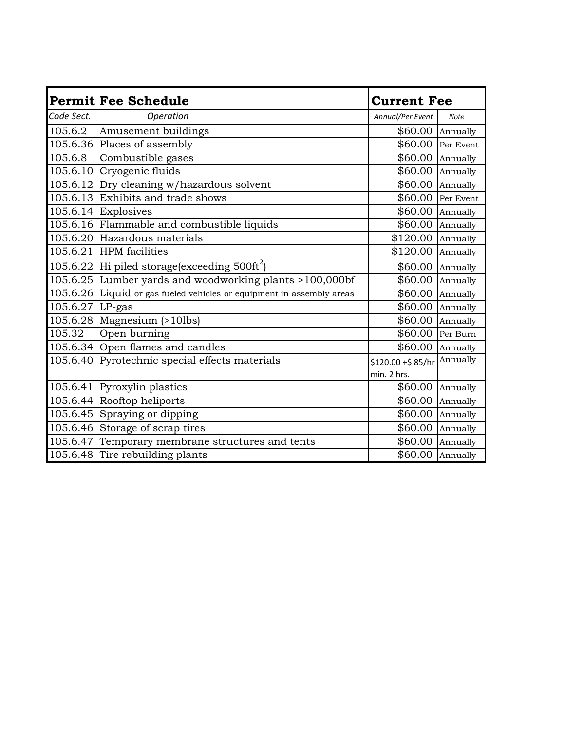|                 | <b>Permit Fee Schedule</b>                                            | <b>Current Fee</b> |             |
|-----------------|-----------------------------------------------------------------------|--------------------|-------------|
| Code Sect.      | Operation                                                             | Annual/Per Event   | <b>Note</b> |
|                 | 105.6.2 Amusement buildings                                           | \$60.00            | Annually    |
|                 | 105.6.36 Places of assembly                                           | \$60.00            | Per Event   |
| 105.6.8         | Combustible gases                                                     | \$60.00            | Annually    |
|                 | 105.6.10 Cryogenic fluids                                             | \$60.00            | Annually    |
|                 | 105.6.12 Dry cleaning w/hazardous solvent                             | \$60.00            | Annually    |
|                 | 105.6.13 Exhibits and trade shows                                     | \$60.00            | Per Event   |
|                 | 105.6.14 Explosives                                                   | \$60.00            | Annually    |
|                 | 105.6.16 Flammable and combustible liquids                            | \$60.00            | Annually    |
|                 | 105.6.20 Hazardous materials                                          | \$120.00           | Annually    |
|                 | 105.6.21 HPM facilities                                               | \$120.00           | Annually    |
|                 | 105.6.22 Hi piled storage (exceeding $500 \text{ft}^2$ )              | \$60.00            | Annually    |
|                 | 105.6.25 Lumber yards and woodworking plants >100,000bf               | \$60.00            | Annually    |
|                 | 105.6.26 Liquid or gas fueled vehicles or equipment in assembly areas | \$60.00            | Annually    |
| 105.6.27 LP-gas |                                                                       | \$60.00            | Annually    |
|                 | 105.6.28 Magnesium (>10lbs)                                           | \$60.00            | Annually    |
| 105.32          | Open burning                                                          | \$60.00            | Per Burn    |
|                 | 105.6.34 Open flames and candles                                      | \$60.00            | Annually    |
|                 | 105.6.40 Pyrotechnic special effects materials                        | \$120.00 +\$85/hr  | Annually    |
|                 |                                                                       | min. 2 hrs.        |             |
|                 | 105.6.41 Pyroxylin plastics                                           | \$60.00            | Annually    |
|                 | 105.6.44 Rooftop heliports                                            | \$60.00            | Annually    |
|                 | 105.6.45 Spraying or dipping                                          | \$60.00            | Annually    |
|                 | 105.6.46 Storage of scrap tires                                       | \$60.00            | Annually    |
|                 | 105.6.47 Temporary membrane structures and tents                      | \$60.00            | Annually    |
|                 | 105.6.48 Tire rebuilding plants                                       | \$60.00            | Annually    |